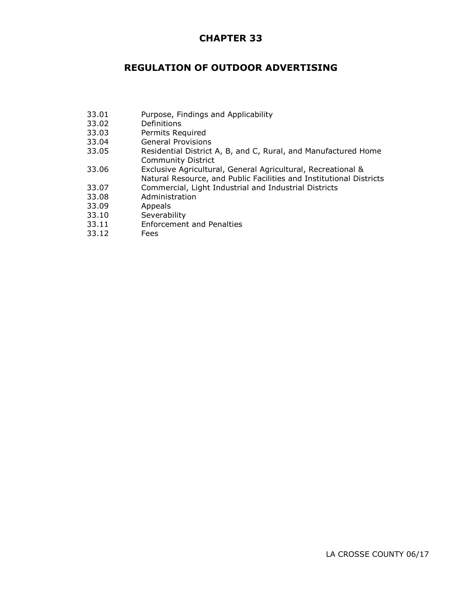## **CHAPTER 33**

## **REGULATION OF OUTDOOR ADVERTISING**

- 33.01 Purpose, Findings and Applicability
- 33.02 Definitions
- 33.03 Permits Required
- 33.04 General Provisions
- 33.05 Residential District A, B, and C, Rural, and Manufactured Home Community District
- 33.06 Exclusive Agricultural, General Agricultural, Recreational &
- Natural Resource, and Public Facilities and Institutional Districts
- 33.07 Commercial, Light Industrial and Industrial Districts
- 33.08 Administration
- 33.09 Appeals
- 33.10 Severability
- 33.11 Enforcement and Penalties
- 33.12 Fees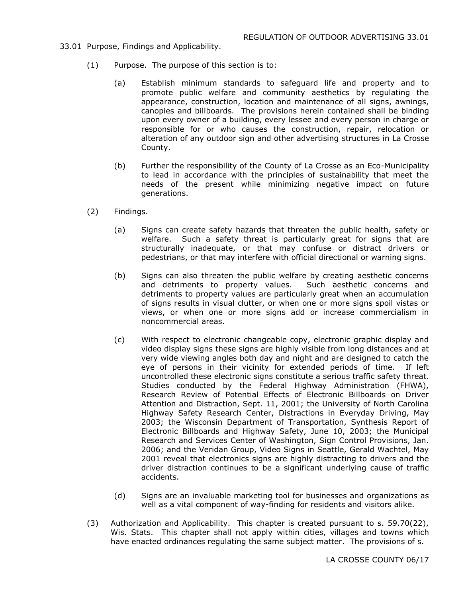- 33.01 Purpose, Findings and Applicability.
	- (1) Purpose. The purpose of this section is to:
		- (a) Establish minimum standards to safeguard life and property and to promote public welfare and community aesthetics by regulating the appearance, construction, location and maintenance of all signs, awnings, canopies and billboards. The provisions herein contained shall be binding upon every owner of a building, every lessee and every person in charge or responsible for or who causes the construction, repair, relocation or alteration of any outdoor sign and other advertising structures in La Crosse County.
		- (b) Further the responsibility of the County of La Crosse as an Eco-Municipality to lead in accordance with the principles of sustainability that meet the needs of the present while minimizing negative impact on future generations.
	- (2) Findings.
		- (a) Signs can create safety hazards that threaten the public health, safety or welfare. Such a safety threat is particularly great for signs that are structurally inadequate, or that may confuse or distract drivers or pedestrians, or that may interfere with official directional or warning signs.
		- (b) Signs can also threaten the public welfare by creating aesthetic concerns and detriments to property values. Such aesthetic concerns and detriments to property values are particularly great when an accumulation of signs results in visual clutter, or when one or more signs spoil vistas or views, or when one or more signs add or increase commercialism in noncommercial areas.
		- (c) With respect to electronic changeable copy, electronic graphic display and video display signs these signs are highly visible from long distances and at very wide viewing angles both day and night and are designed to catch the eye of persons in their vicinity for extended periods of time. If left uncontrolled these electronic signs constitute a serious traffic safety threat. Studies conducted by the Federal Highway Administration (FHWA), Research Review of Potential Effects of Electronic Billboards on Driver Attention and Distraction, Sept. 11, 2001; the University of North Carolina Highway Safety Research Center, Distractions in Everyday Driving, May 2003; the Wisconsin Department of Transportation, Synthesis Report of Electronic Billboards and Highway Safety, June 10, 2003; the Municipal Research and Services Center of Washington, Sign Control Provisions, Jan. 2006; and the Veridan Group, Video Signs in Seattle, Gerald Wachtel, May 2001 reveal that electronics signs are highly distracting to drivers and the driver distraction continues to be a significant underlying cause of traffic accidents.
		- (d) Signs are an invaluable marketing tool for businesses and organizations as well as a vital component of way-finding for residents and visitors alike.
	- (3) Authorization and Applicability. This chapter is created pursuant to s. 59.70(22), Wis. Stats. This chapter shall not apply within cities, villages and towns which have enacted ordinances regulating the same subject matter. The provisions of s.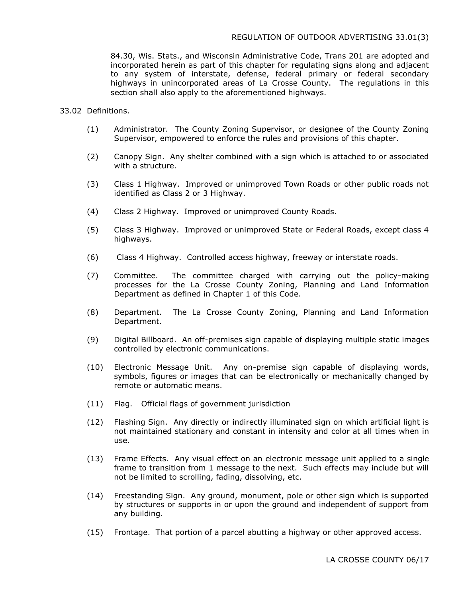84.30, Wis. Stats., and Wisconsin Administrative Code, Trans 201 are adopted and incorporated herein as part of this chapter for regulating signs along and adjacent to any system of interstate, defense, federal primary or federal secondary highways in unincorporated areas of La Crosse County. The regulations in this section shall also apply to the aforementioned highways.

## 33.02 Definitions.

- (1) Administrator. The County Zoning Supervisor, or designee of the County Zoning Supervisor, empowered to enforce the rules and provisions of this chapter.
- (2) Canopy Sign. Any shelter combined with a sign which is attached to or associated with a structure.
- (3) Class 1 Highway. Improved or unimproved Town Roads or other public roads not identified as Class 2 or 3 Highway.
- (4) Class 2 Highway. Improved or unimproved County Roads.
- (5) Class 3 Highway. Improved or unimproved State or Federal Roads, except class 4 highways.
- (6) Class 4 Highway. Controlled access highway, freeway or interstate roads.
- (7) Committee. The committee charged with carrying out the policy-making processes for the La Crosse County Zoning, Planning and Land Information Department as defined in Chapter 1 of this Code.
- (8) Department. The La Crosse County Zoning, Planning and Land Information Department.
- (9) Digital Billboard. An off-premises sign capable of displaying multiple static images controlled by electronic communications.
- (10) Electronic Message Unit. Any on-premise sign capable of displaying words, symbols, figures or images that can be electronically or mechanically changed by remote or automatic means.
- (11) Flag. Official flags of government jurisdiction
- (12) Flashing Sign. Any directly or indirectly illuminated sign on which artificial light is not maintained stationary and constant in intensity and color at all times when in use.
- (13) Frame Effects. Any visual effect on an electronic message unit applied to a single frame to transition from 1 message to the next. Such effects may include but will not be limited to scrolling, fading, dissolving, etc.
- (14) Freestanding Sign. Any ground, monument, pole or other sign which is supported by structures or supports in or upon the ground and independent of support from any building.
- (15) Frontage. That portion of a parcel abutting a highway or other approved access.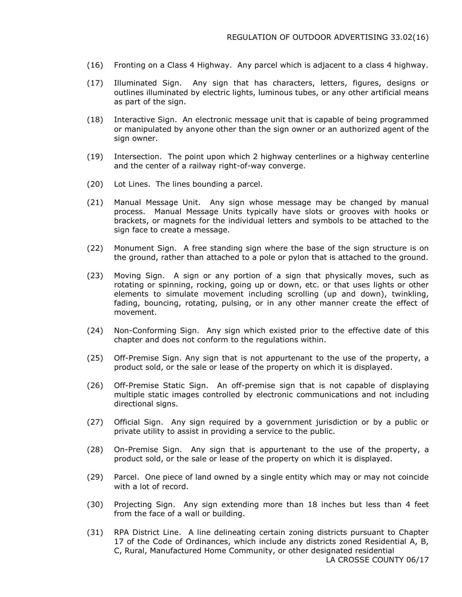- (16) Fronting on a Class 4 Highway. Any parcel which is adjacent to a class 4 highway.
- (17) Illuminated Sign. Any sign that has characters, letters, figures, designs or outlines illuminated by electric lights, luminous tubes, or any other artificial means as part of the sign.
- (18) Interactive Sign. An electronic message unit that is capable of being programmed or manipulated by anyone other than the sign owner or an authorized agent of the sign owner.
- (19) Intersection. The point upon which 2 highway centerlines or a highway centerline and the center of a railway right-of-way converge.
- (20) Lot Lines. The lines bounding a parcel.
- (21) Manual Message Unit. Any sign whose message may be changed by manual process. Manual Message Units typically have slots or grooves with hooks or brackets, or magnets for the individual letters and symbols to be attached to the sign face to create a message.
- (22) Monument Sign. A free standing sign where the base of the sign structure is on the ground, rather than attached to a pole or pylon that is attached to the ground.
- (23) Moving Sign. A sign or any portion of a sign that physically moves, such as rotating or spinning, rocking, going up or down, etc. or that uses lights or other elements to simulate movement including scrolling (up and down), twinkling, fading, bouncing, rotating, pulsing, or in any other manner create the effect of movement.
- (24) Non-Conforming Sign. Any sign which existed prior to the effective date of this chapter and does not conform to the regulations within.
- (25) Off-Premise Sign. Any sign that is not appurtenant to the use of the property, a product sold, or the sale or lease of the property on which it is displayed.
- (26) Off-Premise Static Sign. An off-premise sign that is not capable of displaying multiple static images controlled by electronic communications and not including directional signs.
- (27) Official Sign. Any sign required by a government jurisdiction or by a public or private utility to assist in providing a service to the public.
- (28) On-Premise Sign. Any sign that is appurtenant to the use of the property, a product sold, or the sale or lease of the property on which it is displayed.
- (29) Parcel. One piece of land owned by a single entity which may or may not coincide with a lot of record.
- (30) Projecting Sign. Any sign extending more than 18 inches but less than 4 feet from the face of a wall or building.
- (31) RPA District Line. A line delineating certain zoning districts pursuant to Chapter 17 of the Code of Ordinances, which include any districts zoned Residential A, B, C, Rural, Manufactured Home Community, or other designated residential LA CROSSE COUNTY 06/17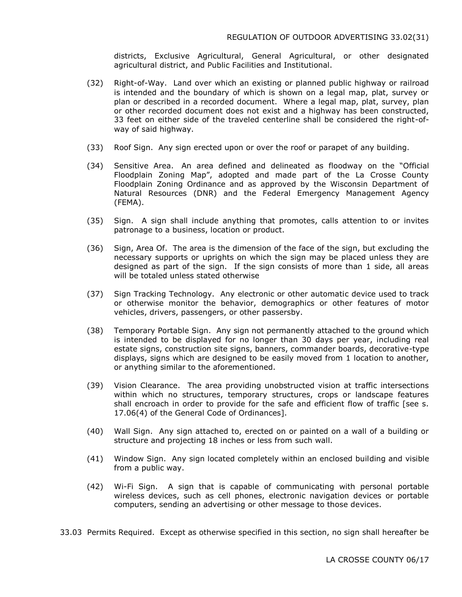districts, Exclusive Agricultural, General Agricultural, or other designated agricultural district, and Public Facilities and Institutional.

- (32) Right-of-Way. Land over which an existing or planned public highway or railroad is intended and the boundary of which is shown on a legal map, plat, survey or plan or described in a recorded document. Where a legal map, plat, survey, plan or other recorded document does not exist and a highway has been constructed, 33 feet on either side of the traveled centerline shall be considered the right-ofway of said highway.
- (33) Roof Sign. Any sign erected upon or over the roof or parapet of any building.
- (34) Sensitive Area. An area defined and delineated as floodway on the "Official Floodplain Zoning Map", adopted and made part of the La Crosse County Floodplain Zoning Ordinance and as approved by the Wisconsin Department of Natural Resources (DNR) and the Federal Emergency Management Agency (FEMA).
- (35) Sign. A sign shall include anything that promotes, calls attention to or invites patronage to a business, location or product.
- (36) Sign, Area Of. The area is the dimension of the face of the sign, but excluding the necessary supports or uprights on which the sign may be placed unless they are designed as part of the sign. If the sign consists of more than 1 side, all areas will be totaled unless stated otherwise
- (37) Sign Tracking Technology. Any electronic or other automatic device used to track or otherwise monitor the behavior, demographics or other features of motor vehicles, drivers, passengers, or other passersby.
- (38) Temporary Portable Sign. Any sign not permanently attached to the ground which is intended to be displayed for no longer than 30 days per year, including real estate signs, construction site signs, banners, commander boards, decorative-type displays, signs which are designed to be easily moved from 1 location to another, or anything similar to the aforementioned.
- (39) Vision Clearance. The area providing unobstructed vision at traffic intersections within which no structures, temporary structures, crops or landscape features shall encroach in order to provide for the safe and efficient flow of traffic [see s. 17.06(4) of the General Code of Ordinances].
- (40) Wall Sign. Any sign attached to, erected on or painted on a wall of a building or structure and projecting 18 inches or less from such wall.
- (41) Window Sign. Any sign located completely within an enclosed building and visible from a public way.
- (42) Wi-Fi Sign. A sign that is capable of communicating with personal portable wireless devices, such as cell phones, electronic navigation devices or portable computers, sending an advertising or other message to those devices.
- 33.03 Permits Required. Except as otherwise specified in this section, no sign shall hereafter be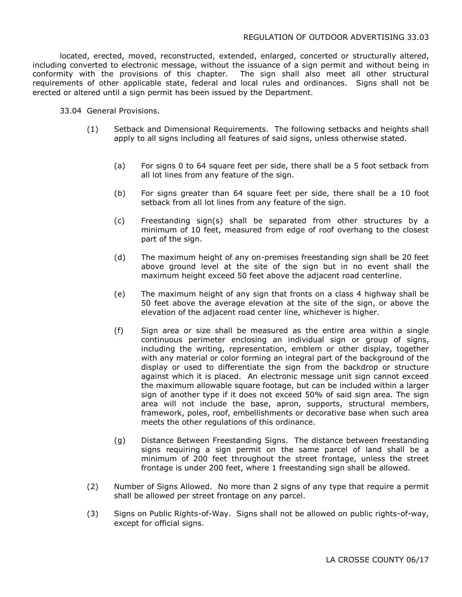located, erected, moved, reconstructed, extended, enlarged, concerted or structurally altered, including converted to electronic message, without the issuance of a sign permit and without being in conformity with the provisions of this chapter. The sign shall also meet all other structural requirements of other applicable state, federal and local rules and ordinances. Signs shall not be erected or altered until a sign permit has been issued by the Department.

33.04 General Provisions.

- (1) Setback and Dimensional Requirements. The following setbacks and heights shall apply to all signs including all features of said signs, unless otherwise stated.
	- (a) For signs 0 to 64 square feet per side, there shall be a 5 foot setback from all lot lines from any feature of the sign.
	- (b) For signs greater than 64 square feet per side, there shall be a 10 foot setback from all lot lines from any feature of the sign.
	- (c) Freestanding sign(s) shall be separated from other structures by a minimum of 10 feet, measured from edge of roof overhang to the closest part of the sign.
	- (d) The maximum height of any on-premises freestanding sign shall be 20 feet above ground level at the site of the sign but in no event shall the maximum height exceed 50 feet above the adjacent road centerline.
	- (e) The maximum height of any sign that fronts on a class 4 highway shall be 50 feet above the average elevation at the site of the sign, or above the elevation of the adjacent road center line, whichever is higher.
	- (f) Sign area or size shall be measured as the entire area within a single continuous perimeter enclosing an individual sign or group of signs, including the writing, representation, emblem or other display, together with any material or color forming an integral part of the background of the display or used to differentiate the sign from the backdrop or structure against which it is placed. An electronic message unit sign cannot exceed the maximum allowable square footage, but can be included within a larger sign of another type if it does not exceed 50% of said sign area. The sign area will not include the base, apron, supports, structural members, framework, poles, roof, embellishments or decorative base when such area meets the other regulations of this ordinance.
	- (g) Distance Between Freestanding Signs. The distance between freestanding signs requiring a sign permit on the same parcel of land shall be a minimum of 200 feet throughout the street frontage, unless the street frontage is under 200 feet, where 1 freestanding sign shall be allowed.
- (2) Number of Signs Allowed. No more than 2 signs of any type that require a permit shall be allowed per street frontage on any parcel.
- (3) Signs on Public Rights-of-Way. Signs shall not be allowed on public rights-of-way, except for official signs.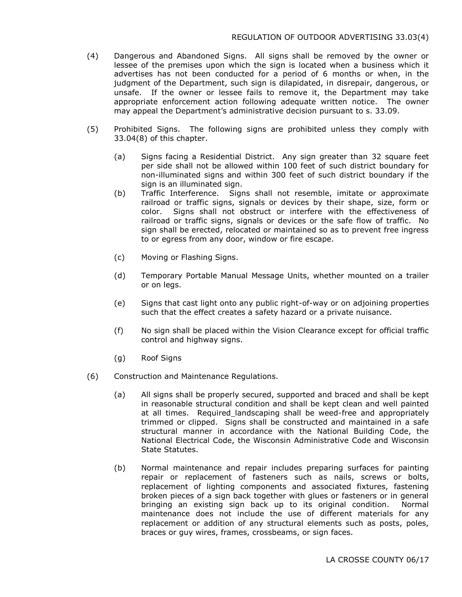- (4) Dangerous and Abandoned Signs. All signs shall be removed by the owner or lessee of the premises upon which the sign is located when a business which it advertises has not been conducted for a period of 6 months or when, in the judgment of the Department, such sign is dilapidated, in disrepair, dangerous, or unsafe. If the owner or lessee fails to remove it, the Department may take appropriate enforcement action following adequate written notice. The owner may appeal the Department's administrative decision pursuant to s. 33.09.
- (5) Prohibited Signs. The following signs are prohibited unless they comply with 33.04(8) of this chapter.
	- (a) Signs facing a Residential District. Any sign greater than 32 square feet per side shall not be allowed within 100 feet of such district boundary for non-illuminated signs and within 300 feet of such district boundary if the sign is an illuminated sign.
	- (b) Traffic Interference. Signs shall not resemble, imitate or approximate railroad or traffic signs, signals or devices by their shape, size, form or color. Signs shall not obstruct or interfere with the effectiveness of railroad or traffic signs, signals or devices or the safe flow of traffic. No sign shall be erected, relocated or maintained so as to prevent free ingress to or egress from any door, window or fire escape.
	- (c) Moving or Flashing Signs.
	- (d) Temporary Portable Manual Message Units, whether mounted on a trailer or on legs.
	- (e) Signs that cast light onto any public right-of-way or on adjoining properties such that the effect creates a safety hazard or a private nuisance.
	- (f) No sign shall be placed within the Vision Clearance except for official traffic control and highway signs.
	- (g) Roof Signs
- (6) Construction and Maintenance Regulations.
	- (a) All signs shall be properly secured, supported and braced and shall be kept in reasonable structural condition and shall be kept clean and well painted at all times. Required landscaping shall be weed-free and appropriately trimmed or clipped. Signs shall be constructed and maintained in a safe structural manner in accordance with the National Building Code, the National Electrical Code, the Wisconsin Administrative Code and Wisconsin State Statutes.
	- (b) Normal maintenance and repair includes preparing surfaces for painting repair or replacement of fasteners such as nails, screws or bolts, replacement of lighting components and associated fixtures, fastening broken pieces of a sign back together with glues or fasteners or in general bringing an existing sign back up to its original condition. Normal maintenance does not include the use of different materials for any replacement or addition of any structural elements such as posts, poles, braces or guy wires, frames, crossbeams, or sign faces.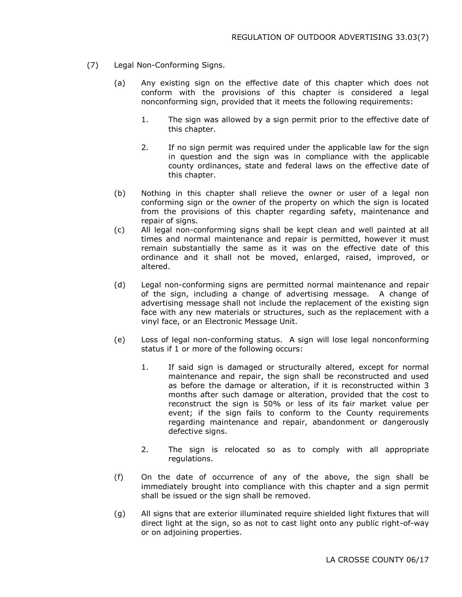- (7) Legal Non-Conforming Signs.
	- (a) Any existing sign on the effective date of this chapter which does not conform with the provisions of this chapter is considered a legal nonconforming sign, provided that it meets the following requirements:
		- 1. The sign was allowed by a sign permit prior to the effective date of this chapter.
		- 2. If no sign permit was required under the applicable law for the sign in question and the sign was in compliance with the applicable county ordinances, state and federal laws on the effective date of this chapter.
	- (b) Nothing in this chapter shall relieve the owner or user of a legal non conforming sign or the owner of the property on which the sign is located from the provisions of this chapter regarding safety, maintenance and repair of signs.
	- (c) All legal non-conforming signs shall be kept clean and well painted at all times and normal maintenance and repair is permitted, however it must remain substantially the same as it was on the effective date of this ordinance and it shall not be moved, enlarged, raised, improved, or altered.
	- (d) Legal non-conforming signs are permitted normal maintenance and repair of the sign, including a change of advertising message. A change of advertising message shall not include the replacement of the existing sign face with any new materials or structures, such as the replacement with a vinyl face, or an Electronic Message Unit.
	- (e) Loss of legal non-conforming status. A sign will lose legal nonconforming status if 1 or more of the following occurs:
		- 1. If said sign is damaged or structurally altered, except for normal maintenance and repair, the sign shall be reconstructed and used as before the damage or alteration, if it is reconstructed within 3 months after such damage or alteration, provided that the cost to reconstruct the sign is 50% or less of its fair market value per event; if the sign fails to conform to the County requirements regarding maintenance and repair, abandonment or dangerously defective signs.
		- 2. The sign is relocated so as to comply with all appropriate regulations.
	- (f) On the date of occurrence of any of the above, the sign shall be immediately brought into compliance with this chapter and a sign permit shall be issued or the sign shall be removed.
	- (g) All signs that are exterior illuminated require shielded light fixtures that will direct light at the sign, so as not to cast light onto any public right-of-way or on adjoining properties.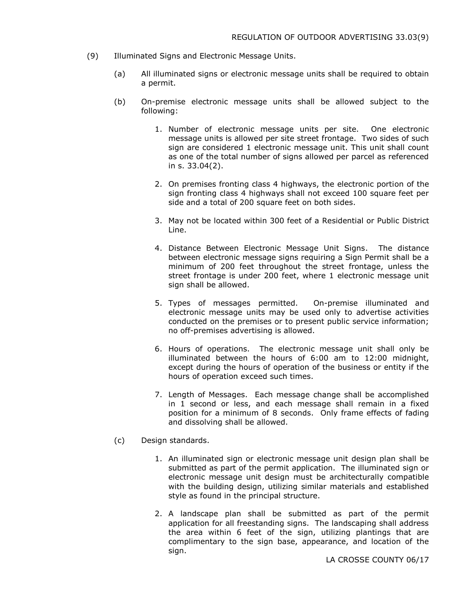- (9) Illuminated Signs and Electronic Message Units.
	- (a) All illuminated signs or electronic message units shall be required to obtain a permit.
	- (b) On-premise electronic message units shall be allowed subject to the following:
		- 1. Number of electronic message units per site. One electronic message units is allowed per site street frontage. Two sides of such sign are considered 1 electronic message unit. This unit shall count as one of the total number of signs allowed per parcel as referenced in s. 33.04(2).
		- 2. On premises fronting class 4 highways, the electronic portion of the sign fronting class 4 highways shall not exceed 100 square feet per side and a total of 200 square feet on both sides.
		- 3. May not be located within 300 feet of a Residential or Public District Line.
		- 4. Distance Between Electronic Message Unit Signs. The distance between electronic message signs requiring a Sign Permit shall be a minimum of 200 feet throughout the street frontage, unless the street frontage is under 200 feet, where 1 electronic message unit sign shall be allowed.
		- 5. Types of messages permitted. On-premise illuminated and electronic message units may be used only to advertise activities conducted on the premises or to present public service information; no off-premises advertising is allowed.
		- 6. Hours of operations. The electronic message unit shall only be illuminated between the hours of 6:00 am to 12:00 midnight, except during the hours of operation of the business or entity if the hours of operation exceed such times.
		- 7. Length of Messages. Each message change shall be accomplished in 1 second or less, and each message shall remain in a fixed position for a minimum of 8 seconds. Only frame effects of fading and dissolving shall be allowed.
	- (c) Design standards.
		- 1. An illuminated sign or electronic message unit design plan shall be submitted as part of the permit application. The illuminated sign or electronic message unit design must be architecturally compatible with the building design, utilizing similar materials and established style as found in the principal structure.
		- 2. A landscape plan shall be submitted as part of the permit application for all freestanding signs. The landscaping shall address the area within 6 feet of the sign, utilizing plantings that are complimentary to the sign base, appearance, and location of the sign.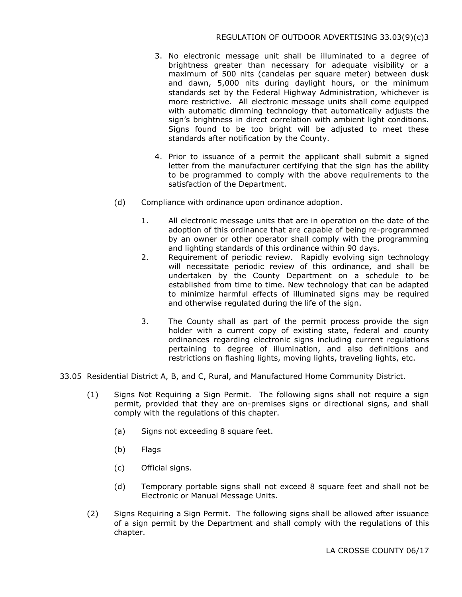- 3. No electronic message unit shall be illuminated to a degree of brightness greater than necessary for adequate visibility or a maximum of 500 nits (candelas per square meter) between dusk and dawn, 5,000 nits during daylight hours, or the minimum standards set by the Federal Highway Administration, whichever is more restrictive. All electronic message units shall come equipped with automatic dimming technology that automatically adjusts the sign's brightness in direct correlation with ambient light conditions. Signs found to be too bright will be adjusted to meet these standards after notification by the County.
- 4. Prior to issuance of a permit the applicant shall submit a signed letter from the manufacturer certifying that the sign has the ability to be programmed to comply with the above requirements to the satisfaction of the Department.
- (d) Compliance with ordinance upon ordinance adoption.
	- 1. All electronic message units that are in operation on the date of the adoption of this ordinance that are capable of being re-programmed by an owner or other operator shall comply with the programming and lighting standards of this ordinance within 90 days.
	- 2. Requirement of periodic review. Rapidly evolving sign technology will necessitate periodic review of this ordinance, and shall be undertaken by the County Department on a schedule to be established from time to time. New technology that can be adapted to minimize harmful effects of illuminated signs may be required and otherwise regulated during the life of the sign.
	- 3. The County shall as part of the permit process provide the sign holder with a current copy of existing state, federal and county ordinances regarding electronic signs including current regulations pertaining to degree of illumination, and also definitions and restrictions on flashing lights, moving lights, traveling lights, etc.
- 33.05 Residential District A, B, and C, Rural, and Manufactured Home Community District.
	- (1) Signs Not Requiring a Sign Permit. The following signs shall not require a sign permit, provided that they are on-premises signs or directional signs, and shall comply with the regulations of this chapter.
		- (a) Signs not exceeding 8 square feet.
		- (b) Flags
		- (c) Official signs.
		- (d) Temporary portable signs shall not exceed 8 square feet and shall not be Electronic or Manual Message Units.
	- (2) Signs Requiring a Sign Permit. The following signs shall be allowed after issuance of a sign permit by the Department and shall comply with the regulations of this chapter.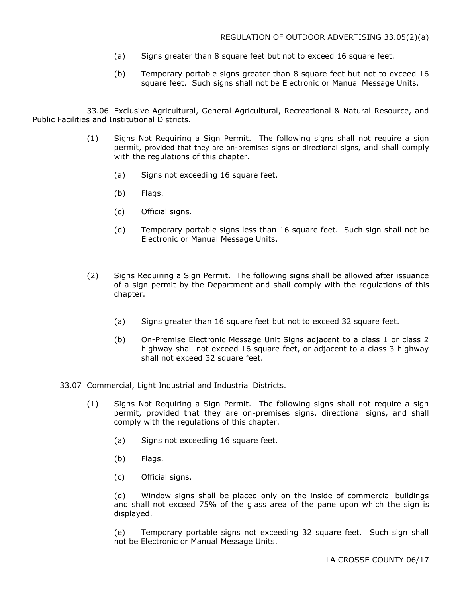- (a) Signs greater than 8 square feet but not to exceed 16 square feet.
- (b) Temporary portable signs greater than 8 square feet but not to exceed 16 square feet. Such signs shall not be Electronic or Manual Message Units.

33.06 Exclusive Agricultural, General Agricultural, Recreational & Natural Resource, and Public Facilities and Institutional Districts.

- (1) Signs Not Requiring a Sign Permit. The following signs shall not require a sign permit, provided that they are on-premises signs or directional signs, and shall comply with the regulations of this chapter.
	- (a) Signs not exceeding 16 square feet.
	- (b) Flags.
	- (c) Official signs.
	- (d) Temporary portable signs less than 16 square feet. Such sign shall not be Electronic or Manual Message Units.
- (2) Signs Requiring a Sign Permit. The following signs shall be allowed after issuance of a sign permit by the Department and shall comply with the regulations of this chapter.
	- (a) Signs greater than 16 square feet but not to exceed 32 square feet.
	- (b) On-Premise Electronic Message Unit Signs adjacent to a class 1 or class 2 highway shall not exceed 16 square feet, or adjacent to a class 3 highway shall not exceed 32 square feet.
- 33.07 Commercial, Light Industrial and Industrial Districts.
	- (1) Signs Not Requiring a Sign Permit. The following signs shall not require a sign permit, provided that they are on-premises signs, directional signs, and shall comply with the regulations of this chapter.
		- (a) Signs not exceeding 16 square feet.
		- (b) Flags.
		- (c) Official signs.

(d) Window signs shall be placed only on the inside of commercial buildings and shall not exceed 75% of the glass area of the pane upon which the sign is displayed.

(e) Temporary portable signs not exceeding 32 square feet. Such sign shall not be Electronic or Manual Message Units.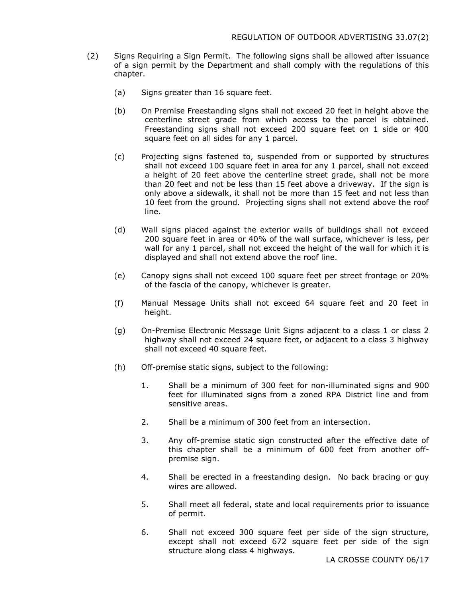- (2) Signs Requiring a Sign Permit. The following signs shall be allowed after issuance of a sign permit by the Department and shall comply with the regulations of this chapter.
	- (a) Signs greater than 16 square feet.
	- (b) On Premise Freestanding signs shall not exceed 20 feet in height above the centerline street grade from which access to the parcel is obtained. Freestanding signs shall not exceed 200 square feet on 1 side or 400 square feet on all sides for any 1 parcel.
	- (c) Projecting signs fastened to, suspended from or supported by structures shall not exceed 100 square feet in area for any 1 parcel, shall not exceed a height of 20 feet above the centerline street grade, shall not be more than 20 feet and not be less than 15 feet above a driveway. If the sign is only above a sidewalk, it shall not be more than 15 feet and not less than 10 feet from the ground. Projecting signs shall not extend above the roof line.
	- (d) Wall signs placed against the exterior walls of buildings shall not exceed 200 square feet in area or 40% of the wall surface, whichever is less, per wall for any 1 parcel, shall not exceed the height of the wall for which it is displayed and shall not extend above the roof line.
	- (e) Canopy signs shall not exceed 100 square feet per street frontage or 20% of the fascia of the canopy, whichever is greater.
	- (f) Manual Message Units shall not exceed 64 square feet and 20 feet in height.
	- (g) On-Premise Electronic Message Unit Signs adjacent to a class 1 or class 2 highway shall not exceed 24 square feet, or adjacent to a class 3 highway shall not exceed 40 square feet.
	- (h) Off-premise static signs, subject to the following:
		- 1. Shall be a minimum of 300 feet for non-illuminated signs and 900 feet for illuminated signs from a zoned RPA District line and from sensitive areas.
		- 2. Shall be a minimum of 300 feet from an intersection.
		- 3. Any off-premise static sign constructed after the effective date of this chapter shall be a minimum of 600 feet from another offpremise sign.
		- 4. Shall be erected in a freestanding design. No back bracing or guy wires are allowed.
		- 5. Shall meet all federal, state and local requirements prior to issuance of permit.
		- 6. Shall not exceed 300 square feet per side of the sign structure, except shall not exceed 672 square feet per side of the sign structure along class 4 highways.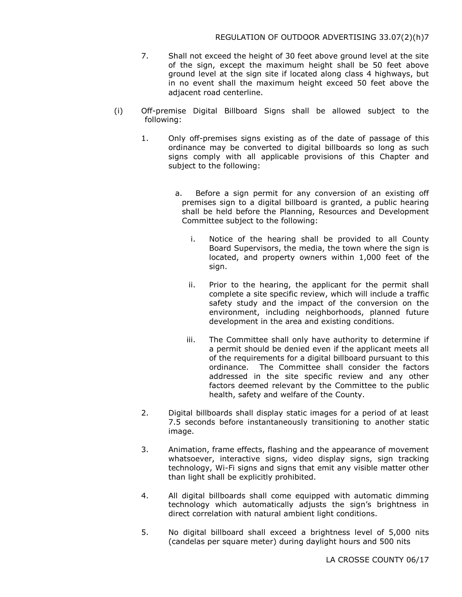- 7. Shall not exceed the height of 30 feet above ground level at the site of the sign, except the maximum height shall be 50 feet above ground level at the sign site if located along class 4 highways, but in no event shall the maximum height exceed 50 feet above the adjacent road centerline.
- (i) Off-premise Digital Billboard Signs shall be allowed subject to the following:
	- 1. Only off-premises signs existing as of the date of passage of this ordinance may be converted to digital billboards so long as such signs comply with all applicable provisions of this Chapter and subject to the following:
		- a. Before a sign permit for any conversion of an existing off premises sign to a digital billboard is granted, a public hearing shall be held before the Planning, Resources and Development Committee subject to the following:
			- i. Notice of the hearing shall be provided to all County Board Supervisors, the media, the town where the sign is located, and property owners within 1,000 feet of the sign.
			- ii. Prior to the hearing, the applicant for the permit shall complete a site specific review, which will include a traffic safety study and the impact of the conversion on the environment, including neighborhoods, planned future development in the area and existing conditions.
			- iii. The Committee shall only have authority to determine if a permit should be denied even if the applicant meets all of the requirements for a digital billboard pursuant to this ordinance. The Committee shall consider the factors addressed in the site specific review and any other factors deemed relevant by the Committee to the public health, safety and welfare of the County.
	- 2. Digital billboards shall display static images for a period of at least 7.5 seconds before instantaneously transitioning to another static image.
	- 3. Animation, frame effects, flashing and the appearance of movement whatsoever, interactive signs, video display signs, sign tracking technology, Wi-Fi signs and signs that emit any visible matter other than light shall be explicitly prohibited.
	- 4. All digital billboards shall come equipped with automatic dimming technology which automatically adjusts the sign's brightness in direct correlation with natural ambient light conditions.
	- 5. No digital billboard shall exceed a brightness level of 5,000 nits (candelas per square meter) during daylight hours and 500 nits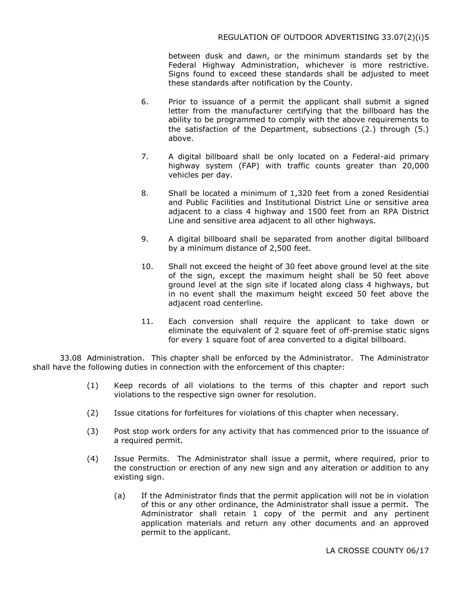between dusk and dawn, or the minimum standards set by the Federal Highway Administration, whichever is more restrictive. Signs found to exceed these standards shall be adjusted to meet these standards after notification by the County.

- 6. Prior to issuance of a permit the applicant shall submit a signed letter from the manufacturer certifying that the billboard has the ability to be programmed to comply with the above requirements to the satisfaction of the Department, subsections (2.) through (5.) above.
- 7. A digital billboard shall be only located on a Federal-aid primary highway system (FAP) with traffic counts greater than 20,000 vehicles per day.
- 8. Shall be located a minimum of 1,320 feet from a zoned Residential and Public Facilities and Institutional District Line or sensitive area adjacent to a class 4 highway and 1500 feet from an RPA District Line and sensitive area adjacent to all other highways.
- 9. A digital billboard shall be separated from another digital billboard by a minimum distance of 2,500 feet.
- 10. Shall not exceed the height of 30 feet above ground level at the site of the sign, except the maximum height shall be 50 feet above ground level at the sign site if located along class 4 highways, but in no event shall the maximum height exceed 50 feet above the adjacent road centerline.
- 11. Each conversion shall require the applicant to take down or eliminate the equivalent of 2 square feet of off-premise static signs for every 1 square foot of area converted to a digital billboard.

33.08 Administration. This chapter shall be enforced by the Administrator. The Administrator shall have the following duties in connection with the enforcement of this chapter:

- (1) Keep records of all violations to the terms of this chapter and report such violations to the respective sign owner for resolution.
- (2) Issue citations for forfeitures for violations of this chapter when necessary.
- (3) Post stop work orders for any activity that has commenced prior to the issuance of a required permit.
- (4) Issue Permits. The Administrator shall issue a permit, where required, prior to the construction or erection of any new sign and any alteration or addition to any existing sign.
	- (a) If the Administrator finds that the permit application will not be in violation of this or any other ordinance, the Administrator shall issue a permit. The Administrator shall retain 1 copy of the permit and any pertinent application materials and return any other documents and an approved permit to the applicant.